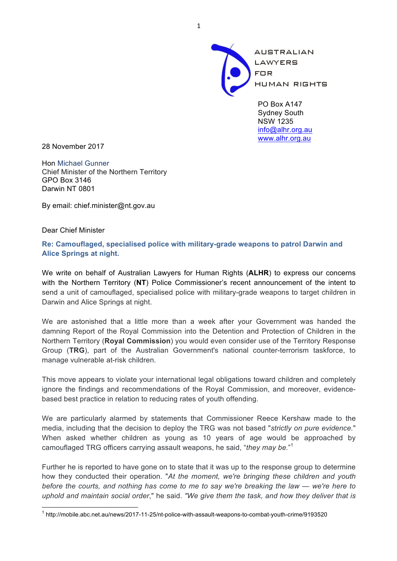

PO Box A147 Sydney South NSW 1235 info@alhr.org.au www.alhr.org.au

28 November 2017

Hon Michael Gunner Chief Minister of the Northern Territory GPO Box 3146 Darwin NT 0801

By email: chief.minister@nt.gov.au

Dear Chief Minister

**Re: Camouflaged, specialised police with military-grade weapons to patrol Darwin and Alice Springs at night.**

We write on behalf of Australian Lawyers for Human Rights (**ALHR**) to express our concerns with the Northern Territory (**NT**) Police Commissioner's recent announcement of the intent to send a unit of camouflaged, specialised police with military-grade weapons to target children in Darwin and Alice Springs at night.

We are astonished that a little more than a week after your Government was handed the damning Report of the Royal Commission into the Detention and Protection of Children in the Northern Territory (**Royal Commission**) you would even consider use of the Territory Response Group (**TRG**), part of the Australian Government's national counter-terrorism taskforce, to manage vulnerable at-risk children.

This move appears to violate your international legal obligations toward children and completely ignore the findings and recommendations of the Royal Commission, and moreover, evidencebased best practice in relation to reducing rates of youth offending.

We are particularly alarmed by statements that Commissioner Reece Kershaw made to the media, including that the decision to deploy the TRG was not based "*strictly on pure evidence.*" When asked whether children as young as 10 years of age would be approached by camouflaged TRG officers carrying assault weapons, he said, "*they may be.*" 1

Further he is reported to have gone on to state that it was up to the response group to determine how they conducted their operation. "*At the moment, we're bringing these children and youth before the courts, and nothing has come to me to say we're breaking the law — we're here to uphold and maintain social order*," he said. *"We give them the task, and how they deliver that is* 

 <sup>1</sup> http://mobile.abc.net.au/news/2017-11-25/nt-police-with-assault-weapons-to-combat-youth-crime/9193520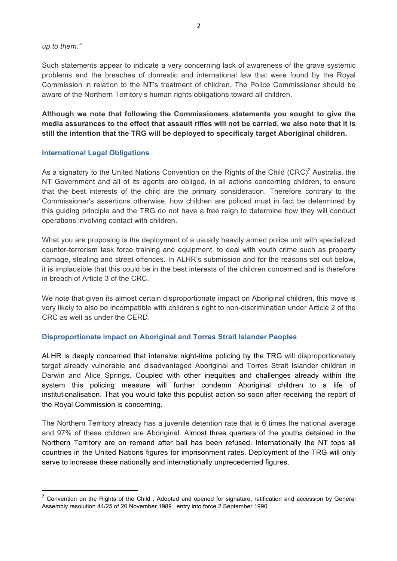*up to them."*

Such statements appear to indicate a very concerning lack of awareness of the grave systemic problems and the breaches of domestic and international law that were found by the Royal Commission in relation to the NT's treatment of children. The Police Commissioner should be aware of the Northern Territory's human rights obligations toward all children.

**Although we note that following the Commissioners statements you sought to give the media assurances to the effect that assault rifles will not be carried, we also note that it is still the intention that the TRG will be deployed to specificaly target Aboriginal children.** 

#### **International Legal Obligations**

<u> 1989 - Jan Samuel Barbara, político establecido de la provincia de la provincia de la provincia de la provinci</u>

As a signatory to the United Nations Convention on the Rights of the Child  $(CRC)^2$  Australia, the NT Government and all of its agents are obliged, in all actions concerning children, to ensure that the best interests of the child are the primary consideration. Therefore contrary to the Commissioner's assertions otherwise, how children are policed must in fact be determined by this guiding principle and the TRG do not have a free reign to determine how they will conduct operations involving contact with children.

What you are proposing is the deployment of a usually heavily armed police unit with specialized counter-terrorism task force training and equipment, to deal with youth crime such as property damage, stealing and street offences. In ALHR's submission and for the reasons set out below, it is implausible that this could be in the best interests of the children concerned and is therefore in breach of Article 3 of the CRC.

We note that given its almost certain disproportionate impact on Aboriginal children, this move is very likely to also be incompatible with children's right to non-discrimination under Article 2 of the CRC as well as under the CERD.

# **Disproportionate impact on Aboriginal and Torres Strait Islander Peoples**

ALHR is deeply concerned that intensive night-time policing by the TRG will disproportionately target already vulnerable and disadvantaged Aboriginal and Torres Strait Islander children in Darwin and Alice Springs. Coupled with other inequities and challenges already within the system this policing measure will further condemn Aboriginal children to a life of institutionalisation. That you would take this populist action so soon after receiving the report of the Royal Commission is concerning.

The Northern Territory already has a juvenile detention rate that is 6 times the national average and 97% of these children are Aboriginal. Almost three quarters of the youths detained in the Northern Territory are on remand after bail has been refused. Internationally the NT tops all countries in the United Nations figures for imprisonment rates. Deployment of the TRG will only serve to increase these nationally and internationally unprecedented figures.

<sup>&</sup>lt;sup>2</sup> Convention on the Rights of the Child, Adopted and opened for signature, ratification and accession by General Assembly resolution 44/25 of 20 November 1989 , entry into force 2 September 1990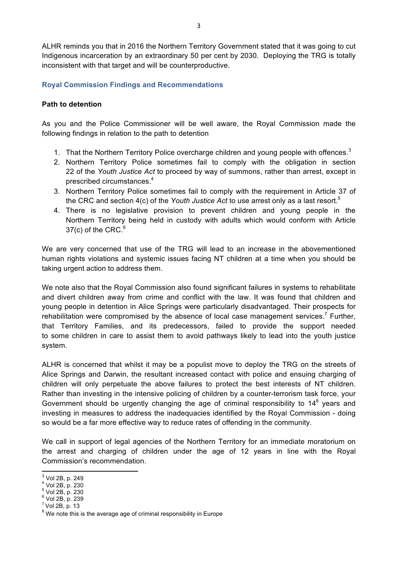ALHR reminds you that in 2016 the Northern Territory Government stated that it was going to cut Indigenous incarceration by an extraordinary 50 per cent by 2030. Deploying the TRG is totally inconsistent with that target and will be counterproductive.

# **Royal Commission Findings and Recommendations**

# **Path to detention**

As you and the Police Commissioner will be well aware, the Royal Commission made the following findings in relation to the path to detention

- 1. That the Northern Territory Police overcharge children and young people with offences.<sup>3</sup>
- 2. Northern Territory Police sometimes fail to comply with the obligation in section 22 of the *Youth Justice Act* to proceed by way of summons, rather than arrest, except in prescribed circumstances.4
- 3. Northern Territory Police sometimes fail to comply with the requirement in Article 37 of the CRC and section 4(c) of the *Youth Justice Act* to use arrest only as a last resort.5
- 4. There is no legislative provision to prevent children and young people in the Northern Territory being held in custody with adults which would conform with Article 37(c) of the CRC. $6$

We are very concerned that use of the TRG will lead to an increase in the abovementioned human rights violations and systemic issues facing NT children at a time when you should be taking urgent action to address them.

We note also that the Royal Commission also found significant failures in systems to rehabilitate and divert children away from crime and conflict with the law. It was found that children and young people in detention in Alice Springs were particularly disadvantaged. Their prospects for rehabilitation were compromised by the absence of local case management services.<sup>7</sup> Further, that Territory Families, and its predecessors, failed to provide the support needed to some children in care to assist them to avoid pathways likely to lead into the youth justice system.

ALHR is concerned that whilst it may be a populist move to deploy the TRG on the streets of Alice Springs and Darwin, the resultant increased contact with police and ensuing charging of children will only perpetuate the above failures to protect the best interests of NT children. Rather than investing in the intensive policing of children by a counter-terrorism task force, your Government should be urgently changing the age of criminal responsibility to  $14<sup>8</sup>$  years and investing in measures to address the inadequacies identified by the Royal Commission - doing so would be a far more effective way to reduce rates of offending in the community.

We call in support of legal agencies of the Northern Territory for an immediate moratorium on the arrest and charging of children under the age of 12 years in line with the Royal Commission's recommendation.

- 
- $<sup>7</sup>$  Vol 2B, p. 13</sup>

 $^3$  Vol 2B, p. 249<br>  $^4$  Vol 2B, p. 230<br>  $^5$  Vol 2B, p. 230<br>  $^6$  Vol 2B, p. 239

 $8$  We note this is the average age of criminal responsibility in Europe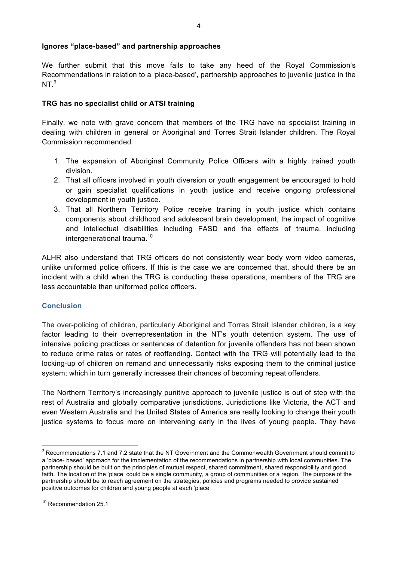# **Ignores "place-based" and partnership approaches**

We further submit that this move fails to take any heed of the Royal Commission's Recommendations in relation to a 'place-based', partnership approaches to juvenile justice in the  $NT<sup>9</sup>$ 

# **TRG has no specialist child or ATSI training**

Finally, we note with grave concern that members of the TRG have no specialist training in dealing with children in general or Aboriginal and Torres Strait Islander children. The Royal Commission recommended:

- 1. The expansion of Aboriginal Community Police Officers with a highly trained youth division.
- 2. That all officers involved in youth diversion or youth engagement be encouraged to hold or gain specialist qualifications in youth justice and receive ongoing professional development in youth justice.
- 3. That all Northern Territory Police receive training in youth justice which contains components about childhood and adolescent brain development, the impact of cognitive and intellectual disabilities including FASD and the effects of trauma, including intergenerational trauma.<sup>10</sup>

ALHR also understand that TRG officers do not consistently wear body worn video cameras, unlike uniformed police officers. If this is the case we are concerned that, should there be an incident with a child when the TRG is conducting these operations, members of the TRG are less accountable than uniformed police officers.

# **Conclusion**

The over-policing of children, particularly Aboriginal and Torres Strait Islander children, is a key factor leading to their overrepresentation in the NT's youth detention system. The use of intensive policing practices or sentences of detention for juvenile offenders has not been shown to reduce crime rates or rates of reoffending. Contact with the TRG will potentially lead to the locking-up of children on remand and unnecessarily risks exposing them to the criminal justice system; which in turn generally increases their chances of becoming repeat offenders.

The Northern Territory's increasingly punitive approach to juvenile justice is out of step with the rest of Australia and globally comparative jurisdictions. Jurisdictions like Victoria, the ACT and even Western Australia and the United States of America are really looking to change their youth justice systems to focus more on intervening early in the lives of young people. They have

 

<sup>&</sup>lt;sup>9</sup> Recommendations 7.1 and 7.2 state that the NT Government and the Commonwealth Government should commit to a 'place- based' approach for the implementation of the recommendations in partnership with local communities. The partnership should be built on the principles of mutual respect, shared commitment, shared responsibility and good faith. The location of the 'place' could be a single community, a group of communities or a region. The purpose of the partnership should be to reach agreement on the strategies, policies and programs needed to provide sustained positive outcomes for children and young people at each 'place'

<sup>&</sup>lt;sup>10</sup> Recommendation 25.1